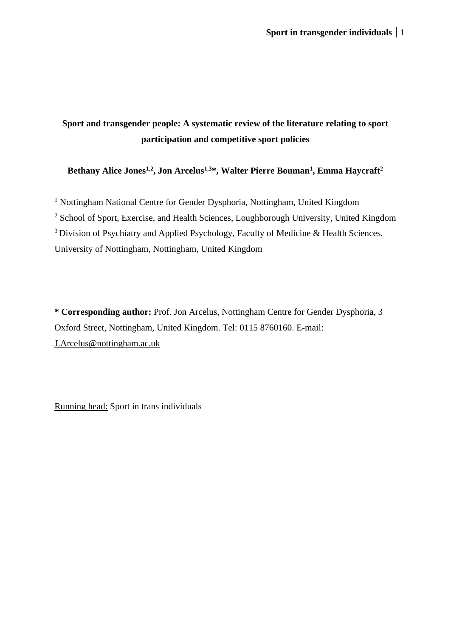# **Sport and transgender people: A systematic review of the literature relating to sport participation and competitive sport policies**

## **Bethany Alice Jones1,2 , Jon Arcelus1,3\*, Walter Pierre Bouman<sup>1</sup> , Emma Haycraft<sup>2</sup>**

<sup>1</sup> Nottingham National Centre for Gender Dysphoria, Nottingham, United Kingdom <sup>2</sup> School of Sport, Exercise, and Health Sciences, Loughborough University, United Kingdom <sup>3</sup> Division of Psychiatry and Applied Psychology, Faculty of Medicine & Health Sciences, University of Nottingham, Nottingham, United Kingdom

**\* Corresponding author:** Prof. Jon Arcelus, Nottingham Centre for Gender Dysphoria, 3 Oxford Street, Nottingham, United Kingdom. Tel: 0115 8760160. E-mail: [J.Arcelus@nottingham.ac.uk](mailto:J.Arcelus@nottingham.ac.uk)

Running head: Sport in trans individuals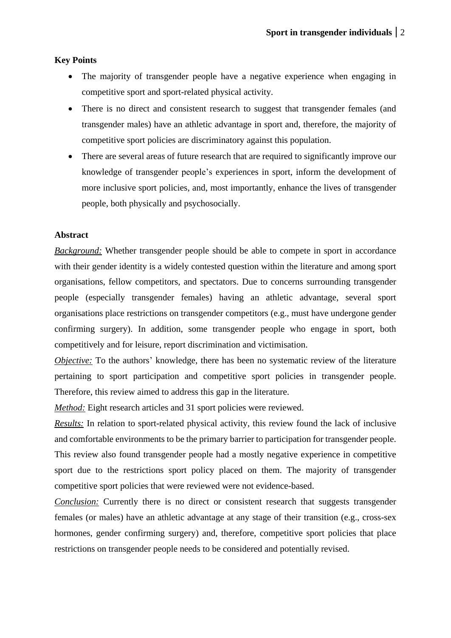### **Key Points**

- The majority of transgender people have a negative experience when engaging in competitive sport and sport-related physical activity.
- There is no direct and consistent research to suggest that transgender females (and transgender males) have an athletic advantage in sport and, therefore, the majority of competitive sport policies are discriminatory against this population.
- There are several areas of future research that are required to significantly improve our knowledge of transgender people's experiences in sport, inform the development of more inclusive sport policies, and, most importantly, enhance the lives of transgender people, both physically and psychosocially.

#### **Abstract**

*Background:* Whether transgender people should be able to compete in sport in accordance with their gender identity is a widely contested question within the literature and among sport organisations, fellow competitors, and spectators. Due to concerns surrounding transgender people (especially transgender females) having an athletic advantage, several sport organisations place restrictions on transgender competitors (e.g., must have undergone gender confirming surgery). In addition, some transgender people who engage in sport, both competitively and for leisure, report discrimination and victimisation.

*Objective:* To the authors' knowledge, there has been no systematic review of the literature pertaining to sport participation and competitive sport policies in transgender people. Therefore, this review aimed to address this gap in the literature.

*Method:* Eight research articles and 31 sport policies were reviewed.

*Results:* In relation to sport-related physical activity, this review found the lack of inclusive and comfortable environments to be the primary barrier to participation for transgender people. This review also found transgender people had a mostly negative experience in competitive sport due to the restrictions sport policy placed on them. The majority of transgender competitive sport policies that were reviewed were not evidence-based.

*Conclusion:* Currently there is no direct or consistent research that suggests transgender females (or males) have an athletic advantage at any stage of their transition (e.g., cross-sex hormones, gender confirming surgery) and, therefore, competitive sport policies that place restrictions on transgender people needs to be considered and potentially revised.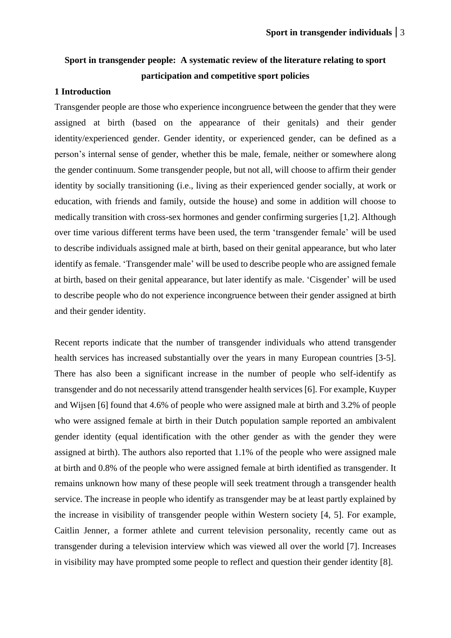## **Sport in transgender people: A systematic review of the literature relating to sport participation and competitive sport policies**

#### **1 Introduction**

Transgender people are those who experience incongruence between the gender that they were assigned at birth (based on the appearance of their genitals) and their gender identity/experienced gender. Gender identity, or experienced gender, can be defined as a person's internal sense of gender, whether this be male, female, neither or somewhere along the gender continuum. Some transgender people, but not all, will choose to affirm their gender identity by socially transitioning (i.e., living as their experienced gender socially, at work or education, with friends and family, outside the house) and some in addition will choose to medically transition with cross-sex hormones and gender confirming surgeries [1,2]. Although over time various different terms have been used, the term 'transgender female' will be used to describe individuals assigned male at birth, based on their genital appearance, but who later identify as female. 'Transgender male' will be used to describe people who are assigned female at birth, based on their genital appearance, but later identify as male. 'Cisgender' will be used to describe people who do not experience incongruence between their gender assigned at birth and their gender identity.

Recent reports indicate that the number of transgender individuals who attend transgender health services has increased substantially over the years in many European countries [3-5]. There has also been a significant increase in the number of people who self-identify as transgender and do not necessarily attend transgender health services [6]. For example, Kuyper and Wijsen [6] found that 4.6% of people who were assigned male at birth and 3.2% of people who were assigned female at birth in their Dutch population sample reported an ambivalent gender identity (equal identification with the other gender as with the gender they were assigned at birth). The authors also reported that 1.1% of the people who were assigned male at birth and 0.8% of the people who were assigned female at birth identified as transgender. It remains unknown how many of these people will seek treatment through a transgender health service. The increase in people who identify as transgender may be at least partly explained by the increase in visibility of transgender people within Western society [4, 5]. For example, Caitlin Jenner, a former athlete and current television personality, recently came out as transgender during a television interview which was viewed all over the world [7]. Increases in visibility may have prompted some people to reflect and question their gender identity [8].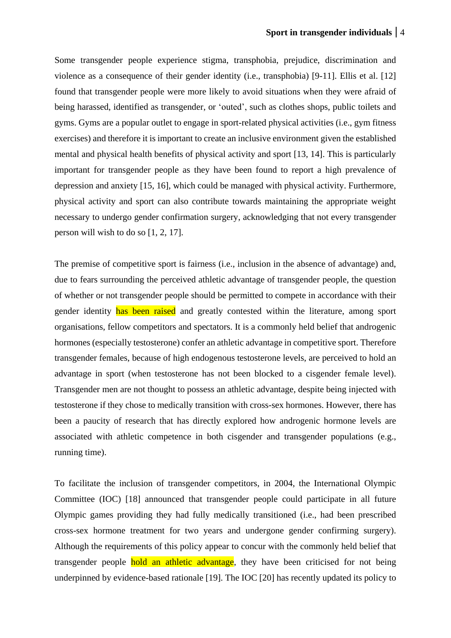Some transgender people experience stigma, transphobia, prejudice, discrimination and violence as a consequence of their gender identity (i.e., transphobia) [9-11]. Ellis et al. [12] found that transgender people were more likely to avoid situations when they were afraid of being harassed, identified as transgender, or 'outed', such as clothes shops, public toilets and gyms. Gyms are a popular outlet to engage in sport-related physical activities (i.e., gym fitness exercises) and therefore it is important to create an inclusive environment given the established mental and physical health benefits of physical activity and sport [13, 14]. This is particularly important for transgender people as they have been found to report a high prevalence of depression and anxiety [15, 16], which could be managed with physical activity. Furthermore, physical activity and sport can also contribute towards maintaining the appropriate weight necessary to undergo gender confirmation surgery, acknowledging that not every transgender person will wish to do so [1, 2, 17].

The premise of competitive sport is fairness (i.e., inclusion in the absence of advantage) and, due to fears surrounding the perceived athletic advantage of transgender people, the question of whether or not transgender people should be permitted to compete in accordance with their gender identity has been raised and greatly contested within the literature, among sport organisations, fellow competitors and spectators. It is a commonly held belief that androgenic hormones (especially testosterone) confer an athletic advantage in competitive sport. Therefore transgender females, because of high endogenous testosterone levels, are perceived to hold an advantage in sport (when testosterone has not been blocked to a cisgender female level). Transgender men are not thought to possess an athletic advantage, despite being injected with testosterone if they chose to medically transition with cross-sex hormones. However, there has been a paucity of research that has directly explored how androgenic hormone levels are associated with athletic competence in both cisgender and transgender populations (e.g., running time).

To facilitate the inclusion of transgender competitors, in 2004, the International Olympic Committee (IOC) [18] announced that transgender people could participate in all future Olympic games providing they had fully medically transitioned (i.e., had been prescribed cross-sex hormone treatment for two years and undergone gender confirming surgery). Although the requirements of this policy appear to concur with the commonly held belief that transgender people hold an athletic advantage, they have been criticised for not being underpinned by evidence-based rationale [19]. The IOC [20] has recently updated its policy to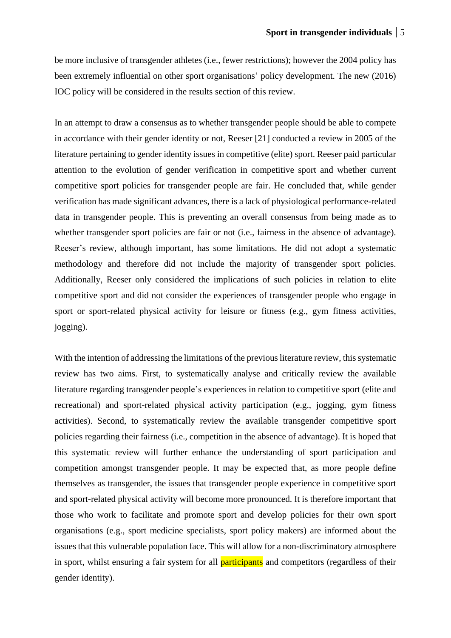be more inclusive of transgender athletes (i.e., fewer restrictions); however the 2004 policy has been extremely influential on other sport organisations' policy development. The new (2016) IOC policy will be considered in the results section of this review.

In an attempt to draw a consensus as to whether transgender people should be able to compete in accordance with their gender identity or not, Reeser [21] conducted a review in 2005 of the literature pertaining to gender identity issues in competitive (elite) sport. Reeser paid particular attention to the evolution of gender verification in competitive sport and whether current competitive sport policies for transgender people are fair. He concluded that, while gender verification has made significant advances, there is a lack of physiological performance-related data in transgender people. This is preventing an overall consensus from being made as to whether transgender sport policies are fair or not (i.e., fairness in the absence of advantage). Reeser's review, although important, has some limitations. He did not adopt a systematic methodology and therefore did not include the majority of transgender sport policies. Additionally, Reeser only considered the implications of such policies in relation to elite competitive sport and did not consider the experiences of transgender people who engage in sport or sport-related physical activity for leisure or fitness (e.g., gym fitness activities, jogging).

With the intention of addressing the limitations of the previous literature review, this systematic review has two aims. First, to systematically analyse and critically review the available literature regarding transgender people's experiences in relation to competitive sport (elite and recreational) and sport-related physical activity participation (e.g., jogging, gym fitness activities). Second, to systematically review the available transgender competitive sport policies regarding their fairness (i.e., competition in the absence of advantage). It is hoped that this systematic review will further enhance the understanding of sport participation and competition amongst transgender people. It may be expected that, as more people define themselves as transgender, the issues that transgender people experience in competitive sport and sport-related physical activity will become more pronounced. It is therefore important that those who work to facilitate and promote sport and develop policies for their own sport organisations (e.g., sport medicine specialists, sport policy makers) are informed about the issues that this vulnerable population face. This will allow for a non-discriminatory atmosphere in sport, whilst ensuring a fair system for all **participants** and competitors (regardless of their gender identity).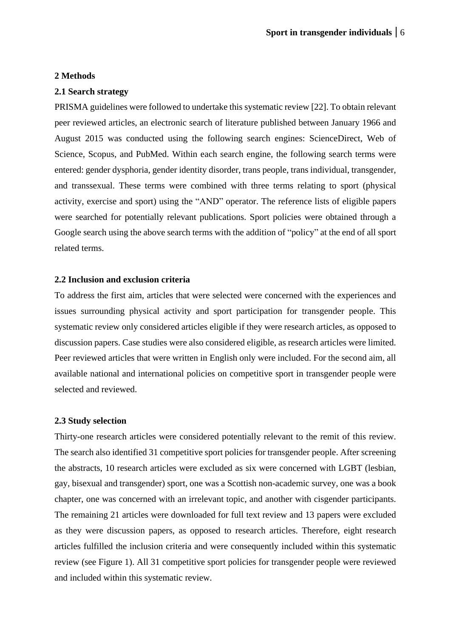#### **2 Methods**

#### **2.1 Search strategy**

PRISMA guidelines were followed to undertake this systematic review [22]. To obtain relevant peer reviewed articles, an electronic search of literature published between January 1966 and August 2015 was conducted using the following search engines: ScienceDirect, Web of Science, Scopus, and PubMed. Within each search engine, the following search terms were entered: gender dysphoria, gender identity disorder, trans people, trans individual, transgender, and transsexual. These terms were combined with three terms relating to sport (physical activity, exercise and sport) using the "AND" operator. The reference lists of eligible papers were searched for potentially relevant publications. Sport policies were obtained through a Google search using the above search terms with the addition of "policy" at the end of all sport related terms.

#### **2.2 Inclusion and exclusion criteria**

To address the first aim, articles that were selected were concerned with the experiences and issues surrounding physical activity and sport participation for transgender people. This systematic review only considered articles eligible if they were research articles, as opposed to discussion papers. Case studies were also considered eligible, as research articles were limited. Peer reviewed articles that were written in English only were included. For the second aim, all available national and international policies on competitive sport in transgender people were selected and reviewed.

#### **2.3 Study selection**

Thirty-one research articles were considered potentially relevant to the remit of this review. The search also identified 31 competitive sport policies for transgender people. After screening the abstracts, 10 research articles were excluded as six were concerned with LGBT (lesbian, gay, bisexual and transgender) sport, one was a Scottish non-academic survey, one was a book chapter, one was concerned with an irrelevant topic, and another with cisgender participants. The remaining 21 articles were downloaded for full text review and 13 papers were excluded as they were discussion papers, as opposed to research articles. Therefore, eight research articles fulfilled the inclusion criteria and were consequently included within this systematic review (see Figure 1). All 31 competitive sport policies for transgender people were reviewed and included within this systematic review.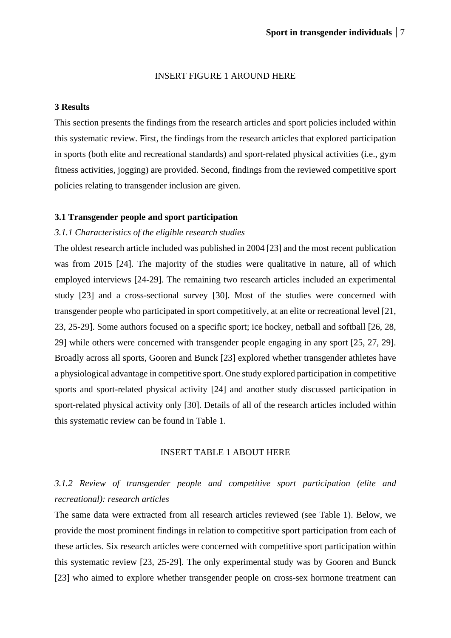#### INSERT FIGURE 1 AROUND HERE

#### **3 Results**

This section presents the findings from the research articles and sport policies included within this systematic review. First, the findings from the research articles that explored participation in sports (both elite and recreational standards) and sport-related physical activities (i.e., gym fitness activities, jogging) are provided. Second, findings from the reviewed competitive sport policies relating to transgender inclusion are given.

### **3.1 Transgender people and sport participation**

#### *3.1.1 Characteristics of the eligible research studies*

The oldest research article included was published in 2004 [23] and the most recent publication was from 2015 [24]. The majority of the studies were qualitative in nature, all of which employed interviews [24-29]. The remaining two research articles included an experimental study [23] and a cross-sectional survey [30]. Most of the studies were concerned with transgender people who participated in sport competitively, at an elite or recreational level [21, 23, 25-29]. Some authors focused on a specific sport; ice hockey, netball and softball [26, 28, 29] while others were concerned with transgender people engaging in any sport [25, 27, 29]. Broadly across all sports, Gooren and Bunck [23] explored whether transgender athletes have a physiological advantage in competitive sport. One study explored participation in competitive sports and sport-related physical activity [24] and another study discussed participation in sport-related physical activity only [30]. Details of all of the research articles included within this systematic review can be found in Table 1.

#### INSERT TABLE 1 ABOUT HERE

## *3.1.2 Review of transgender people and competitive sport participation (elite and recreational): research articles*

The same data were extracted from all research articles reviewed (see Table 1). Below, we provide the most prominent findings in relation to competitive sport participation from each of these articles. Six research articles were concerned with competitive sport participation within this systematic review [23, 25-29]. The only experimental study was by Gooren and Bunck [23] who aimed to explore whether transgender people on cross-sex hormone treatment can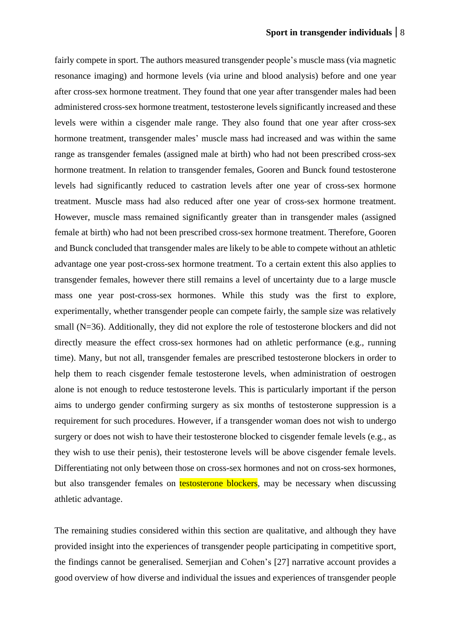fairly compete in sport. The authors measured transgender people's muscle mass (via magnetic resonance imaging) and hormone levels (via urine and blood analysis) before and one year after cross-sex hormone treatment. They found that one year after transgender males had been administered cross-sex hormone treatment, testosterone levelssignificantly increased and these levels were within a cisgender male range. They also found that one year after cross-sex hormone treatment, transgender males' muscle mass had increased and was within the same range as transgender females (assigned male at birth) who had not been prescribed cross-sex hormone treatment. In relation to transgender females, Gooren and Bunck found testosterone levels had significantly reduced to castration levels after one year of cross-sex hormone treatment. Muscle mass had also reduced after one year of cross-sex hormone treatment. However, muscle mass remained significantly greater than in transgender males (assigned female at birth) who had not been prescribed cross-sex hormone treatment. Therefore, Gooren and Bunck concluded that transgender males are likely to be able to compete without an athletic advantage one year post-cross-sex hormone treatment. To a certain extent this also applies to transgender females, however there still remains a level of uncertainty due to a large muscle mass one year post-cross-sex hormones. While this study was the first to explore, experimentally, whether transgender people can compete fairly, the sample size was relatively small (N=36). Additionally, they did not explore the role of testosterone blockers and did not directly measure the effect cross-sex hormones had on athletic performance (e.g., running time). Many, but not all, transgender females are prescribed testosterone blockers in order to help them to reach cisgender female testosterone levels, when administration of oestrogen alone is not enough to reduce testosterone levels. This is particularly important if the person aims to undergo gender confirming surgery as six months of testosterone suppression is a requirement for such procedures. However, if a transgender woman does not wish to undergo surgery or does not wish to have their testosterone blocked to cisgender female levels (e.g., as they wish to use their penis), their testosterone levels will be above cisgender female levels. Differentiating not only between those on cross-sex hormones and not on cross-sex hormones, but also transgender females on testosterone blockers, may be necessary when discussing athletic advantage.

The remaining studies considered within this section are qualitative, and although they have provided insight into the experiences of transgender people participating in competitive sport, the findings cannot be generalised. Semerjian and Cohen's [27] narrative account provides a good overview of how diverse and individual the issues and experiences of transgender people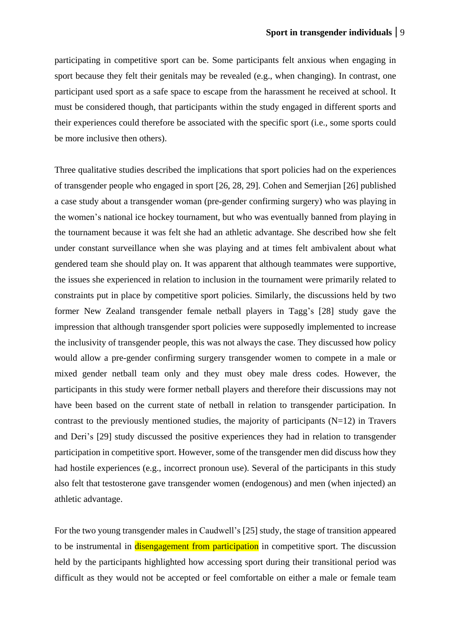participating in competitive sport can be. Some participants felt anxious when engaging in sport because they felt their genitals may be revealed (e.g., when changing). In contrast, one participant used sport as a safe space to escape from the harassment he received at school. It must be considered though, that participants within the study engaged in different sports and their experiences could therefore be associated with the specific sport (i.e., some sports could be more inclusive then others).

Three qualitative studies described the implications that sport policies had on the experiences of transgender people who engaged in sport [26, 28, 29]. Cohen and Semerjian [26] published a case study about a transgender woman (pre-gender confirming surgery) who was playing in the women's national ice hockey tournament, but who was eventually banned from playing in the tournament because it was felt she had an athletic advantage. She described how she felt under constant surveillance when she was playing and at times felt ambivalent about what gendered team she should play on. It was apparent that although teammates were supportive, the issues she experienced in relation to inclusion in the tournament were primarily related to constraints put in place by competitive sport policies. Similarly, the discussions held by two former New Zealand transgender female netball players in Tagg's [28] study gave the impression that although transgender sport policies were supposedly implemented to increase the inclusivity of transgender people, this was not always the case. They discussed how policy would allow a pre-gender confirming surgery transgender women to compete in a male or mixed gender netball team only and they must obey male dress codes. However, the participants in this study were former netball players and therefore their discussions may not have been based on the current state of netball in relation to transgender participation. In contrast to the previously mentioned studies, the majority of participants  $(N=12)$  in Travers and Deri's [29] study discussed the positive experiences they had in relation to transgender participation in competitive sport. However, some of the transgender men did discuss how they had hostile experiences (e.g., incorrect pronoun use). Several of the participants in this study also felt that testosterone gave transgender women (endogenous) and men (when injected) an athletic advantage.

For the two young transgender males in Caudwell's [25] study, the stage of transition appeared to be instrumental in **disengagement from participation** in competitive sport. The discussion held by the participants highlighted how accessing sport during their transitional period was difficult as they would not be accepted or feel comfortable on either a male or female team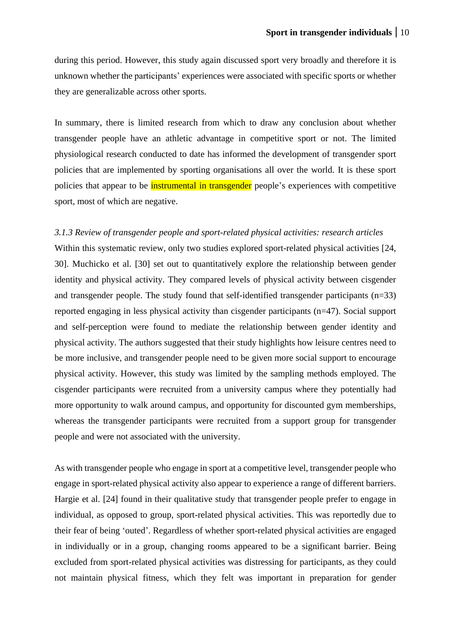during this period. However, this study again discussed sport very broadly and therefore it is unknown whether the participants' experiences were associated with specific sports or whether they are generalizable across other sports.

In summary, there is limited research from which to draw any conclusion about whether transgender people have an athletic advantage in competitive sport or not. The limited physiological research conducted to date has informed the development of transgender sport policies that are implemented by sporting organisations all over the world. It is these sport policies that appear to be **instrumental in transgender** people's experiences with competitive sport, most of which are negative.

## *3.1.3 Review of transgender people and sport-related physical activities: research articles*

Within this systematic review, only two studies explored sport-related physical activities [24, 30]. Muchicko et al. [30] set out to quantitatively explore the relationship between gender identity and physical activity. They compared levels of physical activity between cisgender and transgender people. The study found that self-identified transgender participants (n=33) reported engaging in less physical activity than cisgender participants (n=47). Social support and self-perception were found to mediate the relationship between gender identity and physical activity. The authors suggested that their study highlights how leisure centres need to be more inclusive, and transgender people need to be given more social support to encourage physical activity. However, this study was limited by the sampling methods employed. The cisgender participants were recruited from a university campus where they potentially had more opportunity to walk around campus, and opportunity for discounted gym memberships, whereas the transgender participants were recruited from a support group for transgender people and were not associated with the university.

As with transgender people who engage in sport at a competitive level, transgender people who engage in sport-related physical activity also appear to experience a range of different barriers. Hargie et al. [24] found in their qualitative study that transgender people prefer to engage in individual, as opposed to group, sport-related physical activities. This was reportedly due to their fear of being 'outed'. Regardless of whether sport-related physical activities are engaged in individually or in a group, changing rooms appeared to be a significant barrier. Being excluded from sport-related physical activities was distressing for participants, as they could not maintain physical fitness, which they felt was important in preparation for gender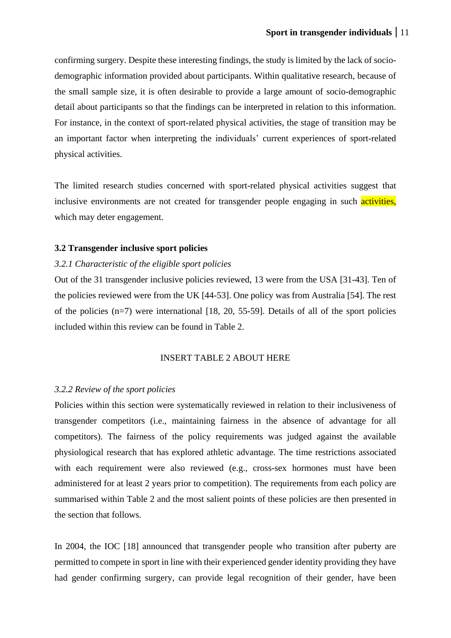confirming surgery. Despite these interesting findings, the study is limited by the lack of sociodemographic information provided about participants. Within qualitative research, because of the small sample size, it is often desirable to provide a large amount of socio-demographic detail about participants so that the findings can be interpreted in relation to this information. For instance, in the context of sport-related physical activities, the stage of transition may be an important factor when interpreting the individuals' current experiences of sport-related physical activities.

The limited research studies concerned with sport-related physical activities suggest that inclusive environments are not created for transgender people engaging in such activities, which may deter engagement.

#### **3.2 Transgender inclusive sport policies**

#### *3.2.1 Characteristic of the eligible sport policies*

Out of the 31 transgender inclusive policies reviewed, 13 were from the USA [31-43]. Ten of the policies reviewed were from the UK [44-53]. One policy was from Australia [54]. The rest of the policies  $(n=7)$  were international [18, 20, 55-59]. Details of all of the sport policies included within this review can be found in Table 2.

#### INSERT TABLE 2 ABOUT HERE

#### *3.2.2 Review of the sport policies*

Policies within this section were systematically reviewed in relation to their inclusiveness of transgender competitors (i.e., maintaining fairness in the absence of advantage for all competitors). The fairness of the policy requirements was judged against the available physiological research that has explored athletic advantage. The time restrictions associated with each requirement were also reviewed (e.g., cross-sex hormones must have been administered for at least 2 years prior to competition). The requirements from each policy are summarised within Table 2 and the most salient points of these policies are then presented in the section that follows.

In 2004, the IOC [18] announced that transgender people who transition after puberty are permitted to compete in sport in line with their experienced gender identity providing they have had gender confirming surgery, can provide legal recognition of their gender, have been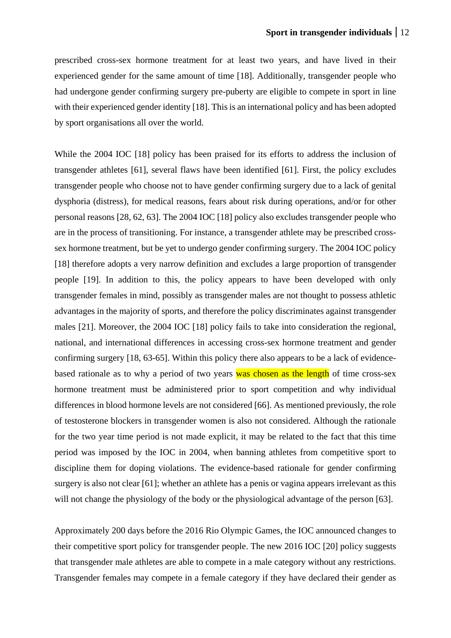prescribed cross-sex hormone treatment for at least two years, and have lived in their experienced gender for the same amount of time [18]. Additionally, transgender people who had undergone gender confirming surgery pre-puberty are eligible to compete in sport in line with their experienced gender identity [18]. This is an international policy and has been adopted by sport organisations all over the world.

While the 2004 IOC [18] policy has been praised for its efforts to address the inclusion of transgender athletes [61], several flaws have been identified [61]. First, the policy excludes transgender people who choose not to have gender confirming surgery due to a lack of genital dysphoria (distress), for medical reasons, fears about risk during operations, and/or for other personal reasons [28, 62, 63]. The 2004 IOC [18] policy also excludes transgender people who are in the process of transitioning. For instance, a transgender athlete may be prescribed crosssex hormone treatment, but be yet to undergo gender confirming surgery. The 2004 IOC policy [18] therefore adopts a very narrow definition and excludes a large proportion of transgender people [19]. In addition to this, the policy appears to have been developed with only transgender females in mind, possibly as transgender males are not thought to possess athletic advantages in the majority of sports, and therefore the policy discriminates against transgender males [21]. Moreover, the 2004 IOC [18] policy fails to take into consideration the regional, national, and international differences in accessing cross-sex hormone treatment and gender confirming surgery [18, 63-65]. Within this policy there also appears to be a lack of evidencebased rationale as to why a period of two years was chosen as the length of time cross-sex hormone treatment must be administered prior to sport competition and why individual differences in blood hormone levels are not considered [66]. As mentioned previously, the role of testosterone blockers in transgender women is also not considered. Although the rationale for the two year time period is not made explicit, it may be related to the fact that this time period was imposed by the IOC in 2004, when banning athletes from competitive sport to discipline them for doping violations. The evidence-based rationale for gender confirming surgery is also not clear [61]; whether an athlete has a penis or vagina appears irrelevant as this will not change the physiology of the body or the physiological advantage of the person [63].

Approximately 200 days before the 2016 Rio Olympic Games, the IOC announced changes to their competitive sport policy for transgender people. The new 2016 IOC [20] policy suggests that transgender male athletes are able to compete in a male category without any restrictions. Transgender females may compete in a female category if they have declared their gender as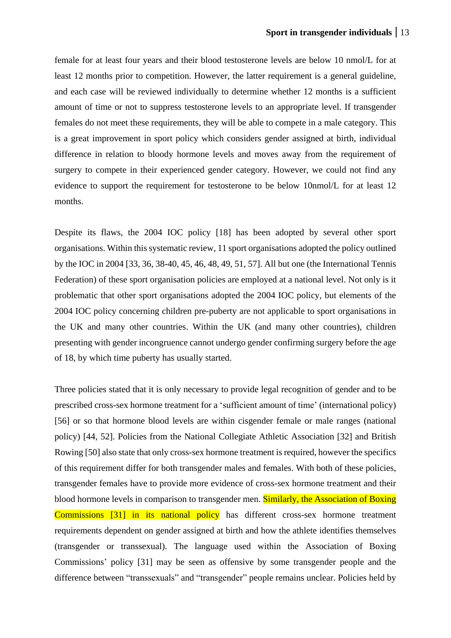female for at least four years and their blood testosterone levels are below 10 nmol/L for at least 12 months prior to competition. However, the latter requirement is a general guideline, and each case will be reviewed individually to determine whether 12 months is a sufficient amount of time or not to suppress testosterone levels to an appropriate level. If transgender females do not meet these requirements, they will be able to compete in a male category. This is a great improvement in sport policy which considers gender assigned at birth, individual difference in relation to bloody hormone levels and moves away from the requirement of surgery to compete in their experienced gender category. However, we could not find any evidence to support the requirement for testosterone to be below 10nmol/L for at least 12 months.

Despite its flaws, the 2004 IOC policy [18] has been adopted by several other sport organisations. Within thissystematic review, 11 sport organisations adopted the policy outlined by the IOC in 2004 [33, 36, 38-40, 45, 46, 48, 49, 51, 57]. All but one (the International Tennis Federation) of these sport organisation policies are employed at a national level. Not only is it problematic that other sport organisations adopted the 2004 IOC policy, but elements of the 2004 IOC policy concerning children pre-puberty are not applicable to sport organisations in the UK and many other countries. Within the UK (and many other countries), children presenting with gender incongruence cannot undergo gender confirming surgery before the age of 18, by which time puberty has usually started.

Three policies stated that it is only necessary to provide legal recognition of gender and to be prescribed cross-sex hormone treatment for a 'sufficient amount of time' (international policy) [56] or so that hormone blood levels are within cisgender female or male ranges (national policy) [44, 52]. Policies from the National Collegiate Athletic Association [32] and British Rowing [50] also state that only cross-sex hormone treatment is required, however the specifics of this requirement differ for both transgender males and females. With both of these policies, transgender females have to provide more evidence of cross-sex hormone treatment and their blood hormone levels in comparison to transgender men. Similarly, the Association of Boxing Commissions [31] in its national policy has different cross-sex hormone treatment requirements dependent on gender assigned at birth and how the athlete identifies themselves (transgender or transsexual). The language used within the Association of Boxing Commissions' policy [31] may be seen as offensive by some transgender people and the difference between "transsexuals" and "transgender" people remains unclear. Policies held by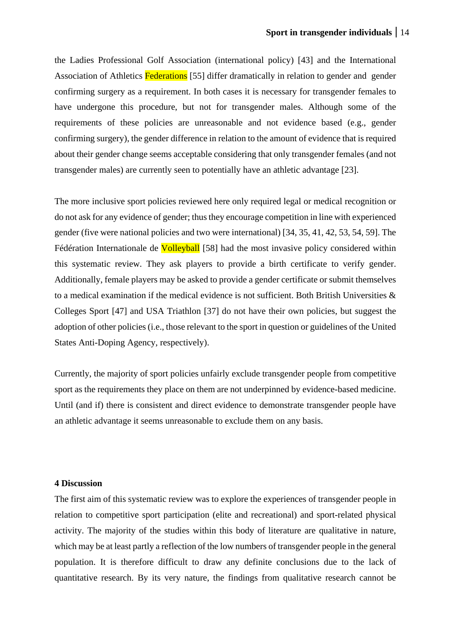the Ladies Professional Golf Association (international policy) [43] and the International Association of Athletics Federations [55] differ dramatically in relation to gender and gender confirming surgery as a requirement. In both cases it is necessary for transgender females to have undergone this procedure, but not for transgender males. Although some of the requirements of these policies are unreasonable and not evidence based (e.g., gender confirming surgery), the gender difference in relation to the amount of evidence that is required about their gender change seems acceptable considering that only transgender females (and not transgender males) are currently seen to potentially have an athletic advantage [23].

The more inclusive sport policies reviewed here only required legal or medical recognition or do not ask for any evidence of gender; thus they encourage competition in line with experienced gender (five were national policies and two were international) [34, 35, 41, 42, 53, 54, 59]. The Fédération Internationale de **Volleyball** [58] had the most invasive policy considered within this systematic review. They ask players to provide a birth certificate to verify gender. Additionally, female players may be asked to provide a gender certificate or submit themselves to a medical examination if the medical evidence is not sufficient. Both British Universities & Colleges Sport [47] and USA Triathlon [37] do not have their own policies, but suggest the adoption of other policies(i.e., those relevant to the sport in question or guidelines of the United States Anti-Doping Agency, respectively).

Currently, the majority of sport policies unfairly exclude transgender people from competitive sport as the requirements they place on them are not underpinned by evidence-based medicine. Until (and if) there is consistent and direct evidence to demonstrate transgender people have an athletic advantage it seems unreasonable to exclude them on any basis.

#### **4 Discussion**

The first aim of this systematic review was to explore the experiences of transgender people in relation to competitive sport participation (elite and recreational) and sport-related physical activity. The majority of the studies within this body of literature are qualitative in nature, which may be at least partly a reflection of the low numbers of transgender people in the general population. It is therefore difficult to draw any definite conclusions due to the lack of quantitative research. By its very nature, the findings from qualitative research cannot be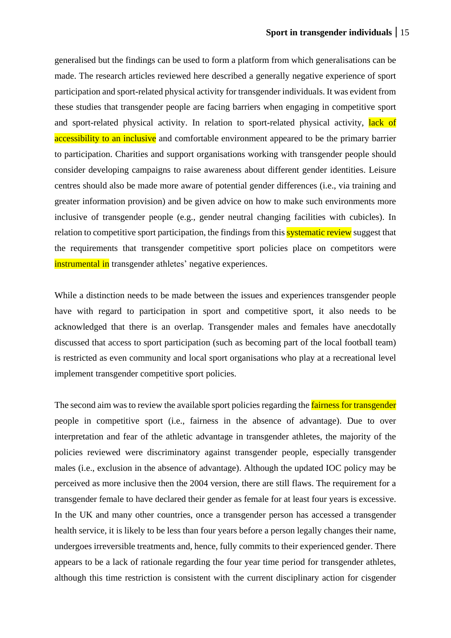generalised but the findings can be used to form a platform from which generalisations can be made. The research articles reviewed here described a generally negative experience of sport participation and sport-related physical activity for transgender individuals. It was evident from these studies that transgender people are facing barriers when engaging in competitive sport and sport-related physical activity. In relation to sport-related physical activity, lack of accessibility to an inclusive and comfortable environment appeared to be the primary barrier to participation. Charities and support organisations working with transgender people should consider developing campaigns to raise awareness about different gender identities. Leisure centres should also be made more aware of potential gender differences (i.e., via training and greater information provision) and be given advice on how to make such environments more inclusive of transgender people (e.g., gender neutral changing facilities with cubicles). In relation to competitive sport participation, the findings from this **systematic review** suggest that the requirements that transgender competitive sport policies place on competitors were instrumental in transgender athletes' negative experiences.

While a distinction needs to be made between the issues and experiences transgender people have with regard to participation in sport and competitive sport, it also needs to be acknowledged that there is an overlap. Transgender males and females have anecdotally discussed that access to sport participation (such as becoming part of the local football team) is restricted as even community and local sport organisations who play at a recreational level implement transgender competitive sport policies.

The second aim was to review the available sport policies regarding the **fairness for transgender** people in competitive sport (i.e., fairness in the absence of advantage). Due to over interpretation and fear of the athletic advantage in transgender athletes, the majority of the policies reviewed were discriminatory against transgender people, especially transgender males (i.e., exclusion in the absence of advantage). Although the updated IOC policy may be perceived as more inclusive then the 2004 version, there are still flaws. The requirement for a transgender female to have declared their gender as female for at least four years is excessive. In the UK and many other countries, once a transgender person has accessed a transgender health service, it is likely to be less than four years before a person legally changes their name, undergoes irreversible treatments and, hence, fully commits to their experienced gender. There appears to be a lack of rationale regarding the four year time period for transgender athletes, although this time restriction is consistent with the current disciplinary action for cisgender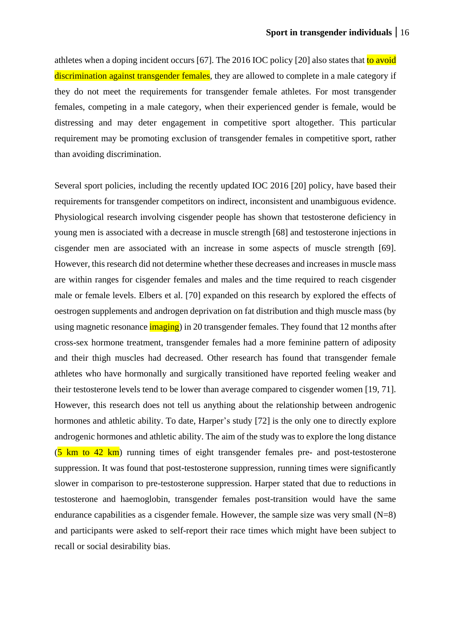athletes when a doping incident occurs [67]. The 2016 IOC policy [20] also states that to avoid discrimination against transgender females, they are allowed to complete in a male category if they do not meet the requirements for transgender female athletes. For most transgender females, competing in a male category, when their experienced gender is female, would be distressing and may deter engagement in competitive sport altogether. This particular requirement may be promoting exclusion of transgender females in competitive sport, rather than avoiding discrimination.

Several sport policies, including the recently updated IOC 2016 [20] policy, have based their requirements for transgender competitors on indirect, inconsistent and unambiguous evidence. Physiological research involving cisgender people has shown that testosterone deficiency in young men is associated with a decrease in muscle strength [68] and testosterone injections in cisgender men are associated with an increase in some aspects of muscle strength [69]. However, this research did not determine whether these decreases and increases in muscle mass are within ranges for cisgender females and males and the time required to reach cisgender male or female levels. Elbers et al. [70] expanded on this research by explored the effects of oestrogen supplements and androgen deprivation on fat distribution and thigh muscle mass (by using magnetic resonance *imaging*) in 20 transgender females. They found that 12 months after cross-sex hormone treatment, transgender females had a more feminine pattern of adiposity and their thigh muscles had decreased. Other research has found that transgender female athletes who have hormonally and surgically transitioned have reported feeling weaker and their testosterone levels tend to be lower than average compared to cisgender women [19, 71]. However, this research does not tell us anything about the relationship between androgenic hormones and athletic ability. To date, Harper's study [72] is the only one to directly explore androgenic hormones and athletic ability. The aim of the study was to explore the long distance  $(5 \text{ km to } 42 \text{ km})$  running times of eight transgender females pre- and post-testosterone suppression. It was found that post-testosterone suppression, running times were significantly slower in comparison to pre-testosterone suppression. Harper stated that due to reductions in testosterone and haemoglobin, transgender females post-transition would have the same endurance capabilities as a cisgender female. However, the sample size was very small  $(N=8)$ and participants were asked to self-report their race times which might have been subject to recall or social desirability bias.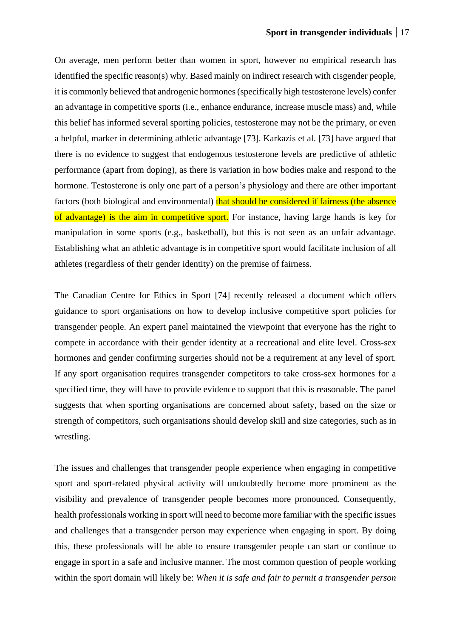On average, men perform better than women in sport, however no empirical research has identified the specific reason(s) why. Based mainly on indirect research with cisgender people, it is commonly believed that androgenic hormones(specifically high testosterone levels) confer an advantage in competitive sports (i.e., enhance endurance, increase muscle mass) and, while this belief has informed several sporting policies, testosterone may not be the primary, or even a helpful, marker in determining athletic advantage [73]. Karkazis et al. [73] have argued that there is no evidence to suggest that endogenous testosterone levels are predictive of athletic performance (apart from doping), as there is variation in how bodies make and respond to the hormone. Testosterone is only one part of a person's physiology and there are other important factors (both biological and environmental) that should be considered if fairness (the absence of advantage) is the aim in competitive sport. For instance, having large hands is key for manipulation in some sports (e.g., basketball), but this is not seen as an unfair advantage. Establishing what an athletic advantage is in competitive sport would facilitate inclusion of all athletes (regardless of their gender identity) on the premise of fairness.

The Canadian Centre for Ethics in Sport [74] recently released a document which offers guidance to sport organisations on how to develop inclusive competitive sport policies for transgender people. An expert panel maintained the viewpoint that everyone has the right to compete in accordance with their gender identity at a recreational and elite level. Cross-sex hormones and gender confirming surgeries should not be a requirement at any level of sport. If any sport organisation requires transgender competitors to take cross-sex hormones for a specified time, they will have to provide evidence to support that this is reasonable. The panel suggests that when sporting organisations are concerned about safety, based on the size or strength of competitors, such organisations should develop skill and size categories, such as in wrestling.

The issues and challenges that transgender people experience when engaging in competitive sport and sport-related physical activity will undoubtedly become more prominent as the visibility and prevalence of transgender people becomes more pronounced. Consequently, health professionals working in sport will need to become more familiar with the specific issues and challenges that a transgender person may experience when engaging in sport. By doing this, these professionals will be able to ensure transgender people can start or continue to engage in sport in a safe and inclusive manner. The most common question of people working within the sport domain will likely be: *When it is safe and fair to permit a transgender person*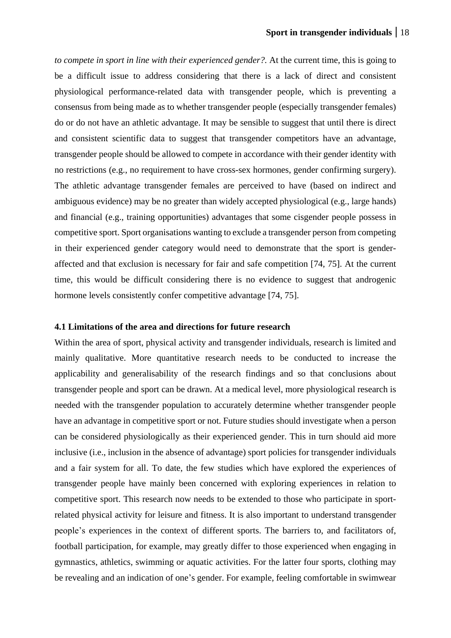*to compete in sport in line with their experienced gender?.* At the current time, this is going to be a difficult issue to address considering that there is a lack of direct and consistent physiological performance-related data with transgender people, which is preventing a consensus from being made as to whether transgender people (especially transgender females) do or do not have an athletic advantage. It may be sensible to suggest that until there is direct and consistent scientific data to suggest that transgender competitors have an advantage, transgender people should be allowed to compete in accordance with their gender identity with no restrictions (e.g., no requirement to have cross-sex hormones, gender confirming surgery). The athletic advantage transgender females are perceived to have (based on indirect and ambiguous evidence) may be no greater than widely accepted physiological (e.g., large hands) and financial (e.g., training opportunities) advantages that some cisgender people possess in competitive sport. Sport organisations wanting to exclude a transgender person from competing in their experienced gender category would need to demonstrate that the sport is genderaffected and that exclusion is necessary for fair and safe competition [74, 75]. At the current time, this would be difficult considering there is no evidence to suggest that androgenic hormone levels consistently confer competitive advantage [74, 75].

#### **4.1 Limitations of the area and directions for future research**

Within the area of sport, physical activity and transgender individuals, research is limited and mainly qualitative. More quantitative research needs to be conducted to increase the applicability and generalisability of the research findings and so that conclusions about transgender people and sport can be drawn. At a medical level, more physiological research is needed with the transgender population to accurately determine whether transgender people have an advantage in competitive sport or not. Future studies should investigate when a person can be considered physiologically as their experienced gender. This in turn should aid more inclusive (i.e., inclusion in the absence of advantage) sport policies for transgender individuals and a fair system for all. To date, the few studies which have explored the experiences of transgender people have mainly been concerned with exploring experiences in relation to competitive sport. This research now needs to be extended to those who participate in sportrelated physical activity for leisure and fitness. It is also important to understand transgender people's experiences in the context of different sports. The barriers to, and facilitators of, football participation, for example, may greatly differ to those experienced when engaging in gymnastics, athletics, swimming or aquatic activities. For the latter four sports, clothing may be revealing and an indication of one's gender. For example, feeling comfortable in swimwear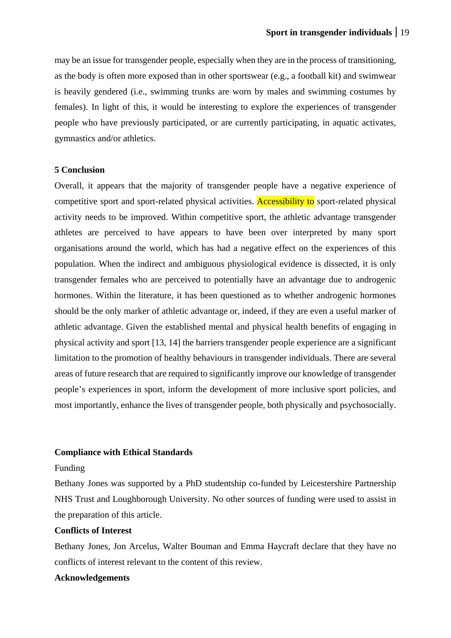may be an issue for transgender people, especially when they are in the process of transitioning, as the body is often more exposed than in other sportswear (e.g., a football kit) and swimwear is heavily gendered (i.e., swimming trunks are worn by males and swimming costumes by females). In light of this, it would be interesting to explore the experiences of transgender people who have previously participated, or are currently participating, in aquatic activates, gymnastics and/or athletics.

#### **5 Conclusion**

Overall, it appears that the majority of transgender people have a negative experience of competitive sport and sport-related physical activities. Accessibility to sport-related physical activity needs to be improved. Within competitive sport, the athletic advantage transgender athletes are perceived to have appears to have been over interpreted by many sport organisations around the world, which has had a negative effect on the experiences of this population. When the indirect and ambiguous physiological evidence is dissected, it is only transgender females who are perceived to potentially have an advantage due to androgenic hormones. Within the literature, it has been questioned as to whether androgenic hormones should be the only marker of athletic advantage or, indeed, if they are even a useful marker of athletic advantage. Given the established mental and physical health benefits of engaging in physical activity and sport [13, 14] the barriers transgender people experience are a significant limitation to the promotion of healthy behaviours in transgender individuals. There are several areas of future research that are required to significantly improve our knowledge of transgender people's experiences in sport, inform the development of more inclusive sport policies, and most importantly, enhance the lives of transgender people, both physically and psychosocially.

#### **Compliance with Ethical Standards**

#### Funding

Bethany Jones was supported by a PhD studentship co-funded by Leicestershire Partnership NHS Trust and Loughborough University. No other sources of funding were used to assist in the preparation of this article.

#### **Conflicts of Interest**

Bethany Jones, Jon Arcelus, Walter Bouman and Emma Haycraft declare that they have no conflicts of interest relevant to the content of this review.

#### **Acknowledgements**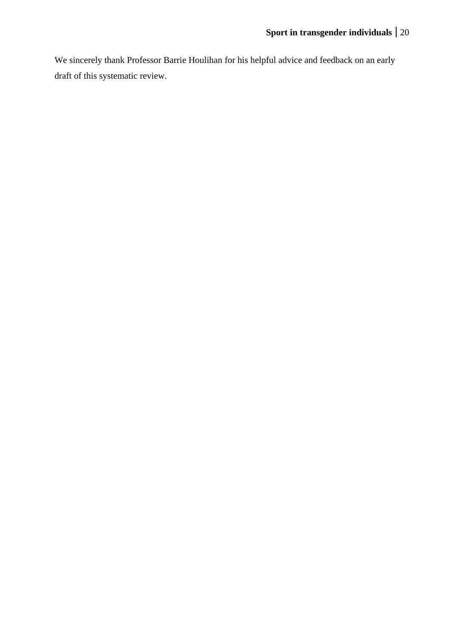We sincerely thank Professor Barrie Houlihan for his helpful advice and feedback on an early draft of this systematic review.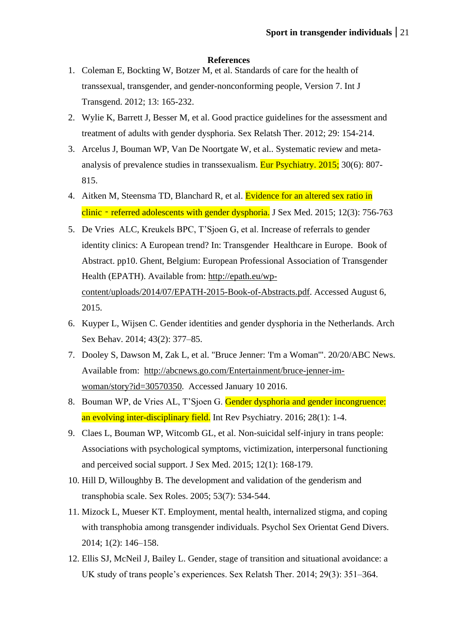#### **References**

- 1. Coleman E, Bockting W, Botzer M, et al. Standards of care for the health of transsexual, transgender, and gender-nonconforming people, Version 7. Int J Transgend. 2012; 13: 165-232.
- 2. Wylie K, Barrett J, Besser M, et al. Good practice guidelines for the assessment and treatment of adults with gender dysphoria. Sex Relatsh Ther. 2012; 29: 154-214.
- 3. Arcelus J, Bouman WP, Van De Noortgate W, et al.. Systematic review and metaanalysis of prevalence studies in transsexualism. Eur Psychiatry. 2015; 30(6): 807- 815.
- 4. Aitken M, Steensma TD, Blanchard R, et al. **Evidence for an altered sex ratio in** clinic - referred adolescents with gender dysphoria. J Sex Med. 2015; 12(3): 756-763
- 5. De Vries ALC, Kreukels BPC, T'Sjoen G, et al. Increase of referrals to gender identity clinics: A European trend? In: Transgender Healthcare in Europe. Book of Abstract. pp10. Ghent, Belgium: European Professional Association of Transgender Health (EPATH). Available from: [http://epath.eu/wp](http://epath.eu/wp-content/uploads/2014/07/EPATH-2015-Book-of-Abstracts.pdf)[content/uploads/2014/07/EPATH-2015-Book-of-Abstracts.pdf.](http://epath.eu/wp-content/uploads/2014/07/EPATH-2015-Book-of-Abstracts.pdf) Accessed August 6, 2015.
- 6. Kuyper L, Wijsen C. Gender identities and gender dysphoria in the Netherlands. Arch Sex Behav. 2014; 43(2): 377–85.
- 7. Dooley S, Dawson M, Zak L, et al. "Bruce Jenner: 'I'm a Woman'". 20/20/ABC News. Available from: [http://abcnews.go.com/Entertainment/bruce-jenner-im](http://abcnews.go.com/Entertainment/bruce-jenner-im-woman/story?id=30570350)[woman/story?id=30570350.](http://abcnews.go.com/Entertainment/bruce-jenner-im-woman/story?id=30570350) Accessed January 10 2016.
- 8. Bouman WP, de Vries AL, T'Sjoen G. Gender dysphoria and gender incongruence: an evolving inter-disciplinary field. Int Rev Psychiatry. 2016; 28(1): 1-4.
- 9. Claes L, Bouman WP, Witcomb GL, et al. Non-suicidal self-injury in trans people: Associations with psychological symptoms, victimization, interpersonal functioning and perceived social support. J Sex Med. 2015; 12(1): 168-179.
- 10. Hill D, Willoughby B. The development and validation of the genderism and transphobia scale. Sex Roles. 2005; 53(7): 534-544.
- 11. Mizock L, Mueser KT. Employment, mental health, internalized stigma, and coping with transphobia among transgender individuals. Psychol Sex Orientat Gend Divers. 2014; 1(2): 146–158.
- 12. Ellis SJ, McNeil J, Bailey L. Gender, stage of transition and situational avoidance: a UK study of trans people's experiences. Sex Relatsh Ther. 2014; 29(3): 351–364.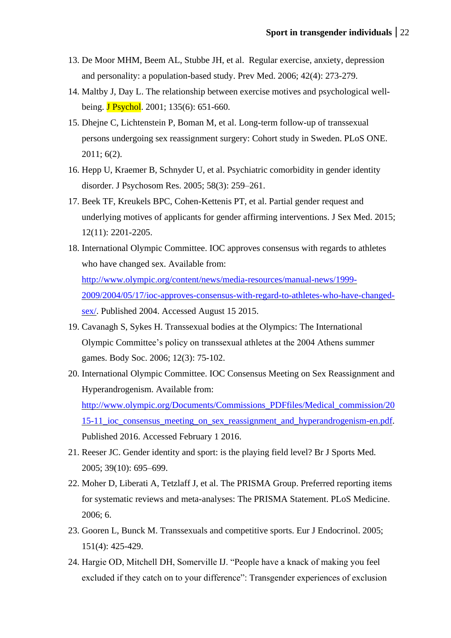- 13. De Moor MHM, Beem AL, Stubbe JH, et al. Regular exercise, anxiety, depression and personality: a population-based study. Prev Med. 2006; 42(4): 273-279.
- 14. Maltby J, Day L. The relationship between exercise motives and psychological wellbeing. **J Psychol**. 2001; 135(6): 651-660.
- 15. Dhejne C, Lichtenstein P, Boman M, et al. Long-term follow-up of transsexual persons undergoing sex reassignment surgery: Cohort study in Sweden. PLoS ONE. 2011; 6(2).
- 16. Hepp U, Kraemer B, Schnyder U, et al. Psychiatric comorbidity in gender identity disorder. J Psychosom Res. 2005; 58(3): 259–261.
- 17. Beek TF, Kreukels BPC, Cohen-Kettenis PT, et al. Partial gender request and underlying motives of applicants for gender affirming interventions. J Sex Med. 2015; 12(11): 2201-2205.
- 18. International Olympic Committee. IOC approves consensus with regards to athletes who have changed sex. Available from: [http://www.olympic.org/content/news/media-resources/manual-news/1999-](http://www.olympic.org/content/news/media-resources/manual-news/1999-2009/2004/05/17/ioc-approves-consensus-with-regard-to-athletes-who-have-changed-sex/) [2009/2004/05/17/ioc-approves-consensus-with-regard-to-athletes-who-have-changed](http://www.olympic.org/content/news/media-resources/manual-news/1999-2009/2004/05/17/ioc-approves-consensus-with-regard-to-athletes-who-have-changed-sex/)[sex/.](http://www.olympic.org/content/news/media-resources/manual-news/1999-2009/2004/05/17/ioc-approves-consensus-with-regard-to-athletes-who-have-changed-sex/) Published 2004. Accessed August 15 2015.
- 19. Cavanagh S, Sykes H. Transsexual bodies at the Olympics: The International Olympic Committee's policy on transsexual athletes at the 2004 Athens summer games. Body Soc. 2006; 12(3): 75-102.
- 20. International Olympic Committee. IOC Consensus Meeting on Sex Reassignment and Hyperandrogenism. Available from: [http://www.olympic.org/Documents/Commissions\\_PDFfiles/Medical\\_commission/20](http://www.olympic.org/Documents/Commissions_PDFfiles/Medical_commission/2015-11_ioc_consensus_meeting_on_sex_reassignment_and_hyperandrogenism-en.pdf) [15-11\\_ioc\\_consensus\\_meeting\\_on\\_sex\\_reassignment\\_and\\_hyperandrogenism-en.pdf.](http://www.olympic.org/Documents/Commissions_PDFfiles/Medical_commission/2015-11_ioc_consensus_meeting_on_sex_reassignment_and_hyperandrogenism-en.pdf) Published 2016. Accessed February 1 2016.
- 21. Reeser JC. Gender identity and sport: is the playing field level? Br J Sports Med. 2005; 39(10): 695–699.
- 22. Moher D, Liberati A, Tetzlaff J, et al. The PRISMA Group. Preferred reporting items for systematic reviews and meta-analyses: The PRISMA Statement. PLoS Medicine. 2006; 6.
- 23. Gooren L, Bunck M. Transsexuals and competitive sports. Eur J Endocrinol. 2005; 151(4): 425-429.
- 24. Hargie OD, Mitchell DH, Somerville IJ. "People have a knack of making you feel excluded if they catch on to your difference": Transgender experiences of exclusion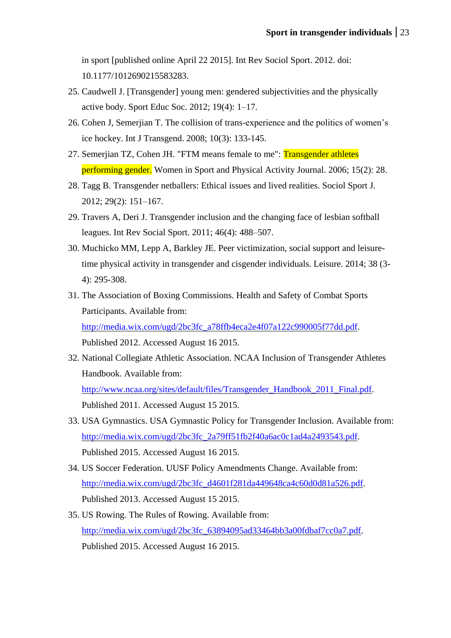in sport [published online April 22 2015]. Int Rev Sociol Sport. 2012. doi: 10.1177/1012690215583283.

- 25. Caudwell J. [Transgender] young men: gendered subjectivities and the physically active body. Sport Educ Soc. 2012; 19(4): 1–17.
- 26. Cohen J, Semerjian T. The collision of trans-experience and the politics of women's ice hockey. Int J Transgend. 2008; 10(3): 133-145.
- 27. Semerjian TZ, Cohen JH. "FTM means female to me": Transgender athletes performing gender. Women in Sport and Physical Activity Journal. 2006; 15(2): 28.
- 28. Tagg B. Transgender netballers: Ethical issues and lived realities. Sociol Sport J. 2012; 29(2): 151–167.
- 29. Travers A, Deri J. Transgender inclusion and the changing face of lesbian softball leagues. Int Rev Social Sport. 2011; 46(4): 488–507.
- 30. Muchicko MM, Lepp A, Barkley JE. Peer victimization, social support and leisuretime physical activity in transgender and cisgender individuals. Leisure. 2014; 38 (3- 4): 295-308.
- 31. The Association of Boxing Commissions. Health and Safety of Combat Sports Participants. Available from: [http://media.wix.com/ugd/2bc3fc\\_a78ffb4eca2e4f07a122c990005f77dd.pdf.](http://media.wix.com/ugd/2bc3fc_a78ffb4eca2e4f07a122c990005f77dd.pdf) Published 2012. Accessed August 16 2015.
- 32. National Collegiate Athletic Association. NCAA Inclusion of Transgender Athletes Handbook. Available from: [http://www.ncaa.org/sites/default/files/Transgender\\_Handbook\\_2011\\_Final.pdf.](http://www.ncaa.org/sites/default/files/Transgender_Handbook_2011_Final.pdf) Published 2011. Accessed August 15 2015.
- 33. USA Gymnastics. USA Gymnastic Policy for Transgender Inclusion. Available from: [http://media.wix.com/ugd/2bc3fc\\_2a79ff51fb2f40a6ac0c1ad4a2493543.pdf.](http://media.wix.com/ugd/2bc3fc_2a79ff51fb2f40a6ac0c1ad4a2493543.pdf) Published 2015. Accessed August 16 2015.
- 34. US Soccer Federation. UUSF Policy Amendments Change. Available from: [http://media.wix.com/ugd/2bc3fc\\_d4601f281da449648ca4c60d0d81a526.pdf.](http://media.wix.com/ugd/2bc3fc_d4601f281da449648ca4c60d0d81a526.pdf) Published 2013. Accessed August 15 2015.
- 35. US Rowing. The Rules of Rowing. Available from: [http://media.wix.com/ugd/2bc3fc\\_63894095ad33464bb3a00fdbaf7cc0a7.pdf.](http://media.wix.com/ugd/2bc3fc_63894095ad33464bb3a00fdbaf7cc0a7.pdf) Published 2015. Accessed August 16 2015.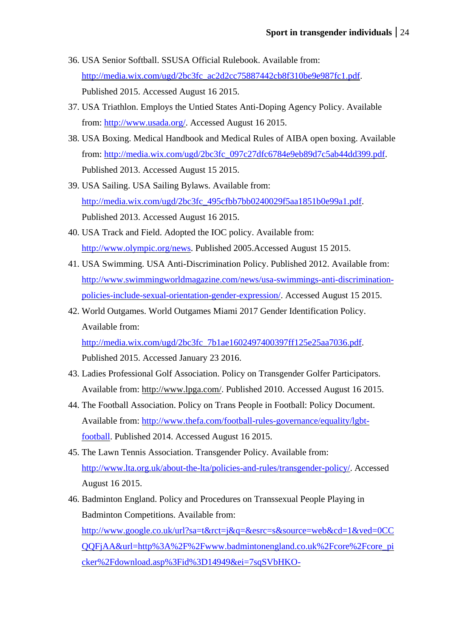- 36. USA Senior Softball. SSUSA Official Rulebook. Available from: [http://media.wix.com/ugd/2bc3fc\\_ac2d2cc75887442cb8f310be9e987fc1.pdf.](http://media.wix.com/ugd/2bc3fc_ac2d2cc75887442cb8f310be9e987fc1.pdf) Published 2015. Accessed August 16 2015.
- 37. USA Triathlon. Employs the Untied States Anti-Doping Agency Policy. Available from: [http://www.usada.org/.](http://www.usada.org/) Accessed August 16 2015.
- 38. USA Boxing. Medical Handbook and Medical Rules of AIBA open boxing. Available from: [http://media.wix.com/ugd/2bc3fc\\_097c27dfc6784e9eb89d7c5ab44dd399.pdf.](http://media.wix.com/ugd/2bc3fc_097c27dfc6784e9eb89d7c5ab44dd399.pdf) Published 2013. Accessed August 15 2015.
- 39. USA Sailing. USA Sailing Bylaws. Available from: [http://media.wix.com/ugd/2bc3fc\\_495cfbb7bb0240029f5aa1851b0e99a1.pdf.](http://media.wix.com/ugd/2bc3fc_495cfbb7bb0240029f5aa1851b0e99a1.pdf) Published 2013. Accessed August 16 2015.
- 40. USA Track and Field. Adopted the IOC policy. Available from: [http://www.olympic.org/news.](http://www.olympic.org/news) Published 2005.Accessed August 15 2015.
- 41. USA Swimming. USA Anti-Discrimination Policy. Published 2012. Available from: [http://www.swimmingworldmagazine.com/news/usa-swimmings-anti-discrimination](http://www.swimmingworldmagazine.com/news/usa-swimmings-anti-discrimination-policies-include-sexual-orientation-gender-expression/)[policies-include-sexual-orientation-gender-expression/.](http://www.swimmingworldmagazine.com/news/usa-swimmings-anti-discrimination-policies-include-sexual-orientation-gender-expression/) Accessed August 15 2015.
- 42. World Outgames. World Outgames Miami 2017 Gender Identification Policy. Available from:

[http://media.wix.com/ugd/2bc3fc\\_7b1ae1602497400397ff125e25aa7036.pdf.](http://media.wix.com/ugd/2bc3fc_7b1ae1602497400397ff125e25aa7036.pdf) Published 2015. Accessed January 23 2016.

- 43. Ladies Professional Golf Association. Policy on Transgender Golfer Participators. Available from: [http://www.lpga.com/.](http://www.lpga.com/) Published 2010. Accessed August 16 2015.
- 44. The Football Association. Policy on Trans People in Football: Policy Document. Available from: [http://www.thefa.com/football-rules-governance/equality/lgbt](http://www.thefa.com/football-rules-governance/equality/lgbt-football)[football.](http://www.thefa.com/football-rules-governance/equality/lgbt-football) Published 2014. Accessed August 16 2015.
- 45. The Lawn Tennis Association. Transgender Policy. Available from: [http://www.lta.org.uk/about-the-lta/policies-and-rules/transgender-policy/.](http://www.lta.org.uk/about-the-lta/policies-and-rules/transgender-policy/) Accessed August 16 2015.
- 46. Badminton England. Policy and Procedures on Transsexual People Playing in Badminton Competitions. Available from: [http://www.google.co.uk/url?sa=t&rct=j&q=&esrc=s&source=web&cd=1&ved=0CC](http://www.google.co.uk/url?sa=t&rct=j&q=&esrc=s&source=web&cd=1&ved=0CCQQFjAA&url=http%3A%2F%2Fwww.badmintonengland.co.uk%2Fcore%2Fcore_picker%2Fdownload.asp%3Fid%3D14949&ei=7sqSVbHKO-b67AaI_ZCIAQ&usg=AFQjCNGLLaRFodpT2mkeVsKBclhg8e7P-g) [QQFjAA&url=http%3A%2F%2Fwww.badmintonengland.co.uk%2Fcore%2Fcore\\_pi](http://www.google.co.uk/url?sa=t&rct=j&q=&esrc=s&source=web&cd=1&ved=0CCQQFjAA&url=http%3A%2F%2Fwww.badmintonengland.co.uk%2Fcore%2Fcore_picker%2Fdownload.asp%3Fid%3D14949&ei=7sqSVbHKO-b67AaI_ZCIAQ&usg=AFQjCNGLLaRFodpT2mkeVsKBclhg8e7P-g) [cker%2Fdownload.asp%3Fid%3D14949&ei=7sqSVbHKO-](http://www.google.co.uk/url?sa=t&rct=j&q=&esrc=s&source=web&cd=1&ved=0CCQQFjAA&url=http%3A%2F%2Fwww.badmintonengland.co.uk%2Fcore%2Fcore_picker%2Fdownload.asp%3Fid%3D14949&ei=7sqSVbHKO-b67AaI_ZCIAQ&usg=AFQjCNGLLaRFodpT2mkeVsKBclhg8e7P-g)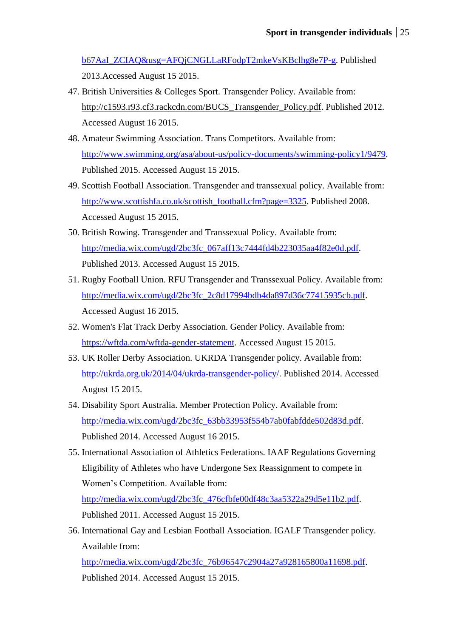[b67AaI\\_ZCIAQ&usg=AFQjCNGLLaRFodpT2mkeVsKBclhg8e7P-g.](http://www.google.co.uk/url?sa=t&rct=j&q=&esrc=s&source=web&cd=1&ved=0CCQQFjAA&url=http%3A%2F%2Fwww.badmintonengland.co.uk%2Fcore%2Fcore_picker%2Fdownload.asp%3Fid%3D14949&ei=7sqSVbHKO-b67AaI_ZCIAQ&usg=AFQjCNGLLaRFodpT2mkeVsKBclhg8e7P-g) Published

2013.Accessed August 15 2015.

- 47. British Universities & Colleges Sport. Transgender Policy. Available from: [http://c1593.r93.cf3.rackcdn.com/BUCS\\_Transgender\\_Policy.pdf.](http://c1593.r93.cf3.rackcdn.com/BUCS_Transgender_Policy.pdf) Published 2012. Accessed August 16 2015.
- 48. Amateur Swimming Association. Trans Competitors. Available from: [http://www.swimming.org/asa/about-us/policy-documents/swimming-policy1/9479.](http://www.swimming.org/asa/about-us/policy-documents/swimming-policy1/9479) Published 2015. Accessed August 15 2015.
- 49. Scottish Football Association. Transgender and transsexual policy. Available from: [http://www.scottishfa.co.uk/scottish\\_football.cfm?page=3325.](http://www.scottishfa.co.uk/scottish_football.cfm?page=3325) Published 2008. Accessed August 15 2015.
- 50. British Rowing. Transgender and Transsexual Policy. Available from: [http://media.wix.com/ugd/2bc3fc\\_067aff13c7444fd4b223035aa4f82e0d.pdf.](http://media.wix.com/ugd/2bc3fc_067aff13c7444fd4b223035aa4f82e0d.pdf) Published 2013. Accessed August 15 2015.
- 51. Rugby Football Union. RFU Transgender and Transsexual Policy. Available from: [http://media.wix.com/ugd/2bc3fc\\_2c8d17994bdb4da897d36c77415935cb.pdf.](http://media.wix.com/ugd/2bc3fc_2c8d17994bdb4da897d36c77415935cb.pdf) Accessed August 16 2015.
- 52. Women's Flat Track Derby Association. Gender Policy. Available from: [https://wftda.com/wftda-gender-statement.](https://wftda.com/wftda-gender-statement) Accessed August 15 2015.
- 53. UK Roller Derby Association. UKRDA Transgender policy. Available from: [http://ukrda.org.uk/2014/04/ukrda-transgender-policy/.](http://ukrda.org.uk/2014/04/ukrda-transgender-policy/) Published 2014. Accessed August 15 2015.
- 54. Disability Sport Australia. Member Protection Policy. Available from: [http://media.wix.com/ugd/2bc3fc\\_63bb33953f554b7ab0fabfdde502d83d.pdf.](http://media.wix.com/ugd/2bc3fc_63bb33953f554b7ab0fabfdde502d83d.pdf) Published 2014. Accessed August 16 2015.
- 55. International Association of Athletics Federations. IAAF Regulations Governing Eligibility of Athletes who have Undergone Sex Reassignment to compete in Women's Competition. Available from: [http://media.wix.com/ugd/2bc3fc\\_476cfbfe00df48c3aa5322a29d5e11b2.pdf.](http://media.wix.com/ugd/2bc3fc_476cfbfe00df48c3aa5322a29d5e11b2.pdf) Published 2011. Accessed August 15 2015.
- 56. International Gay and Lesbian Football Association. IGALF Transgender policy. Available from:

[http://media.wix.com/ugd/2bc3fc\\_76b96547c2904a27a928165800a11698.pdf.](http://media.wix.com/ugd/2bc3fc_76b96547c2904a27a928165800a11698.pdf) Published 2014. Accessed August 15 2015.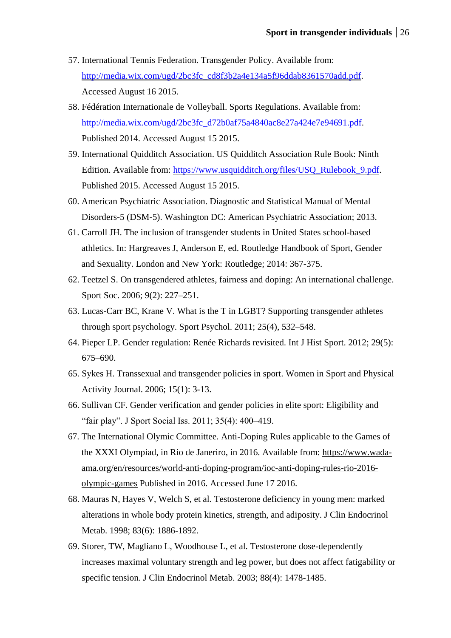- 57. International Tennis Federation. Transgender Policy. Available from: [http://media.wix.com/ugd/2bc3fc\\_cd8f3b2a4e134a5f96ddab8361570add.pdf.](http://media.wix.com/ugd/2bc3fc_cd8f3b2a4e134a5f96ddab8361570add.pdf) Accessed August 16 2015.
- 58. Fédération Internationale de Volleyball. Sports Regulations. Available from: [http://media.wix.com/ugd/2bc3fc\\_d72b0af75a4840ac8e27a424e7e94691.pdf.](http://media.wix.com/ugd/2bc3fc_d72b0af75a4840ac8e27a424e7e94691.pdf) Published 2014. Accessed August 15 2015.
- 59. International Quidditch Association. US Quidditch Association Rule Book: Ninth Edition. Available from: [https://www.usquidditch.org/files/USQ\\_Rulebook\\_9.pdf.](https://www.usquidditch.org/files/USQ_Rulebook_9.pdf) Published 2015. Accessed August 15 2015.
- 60. American Psychiatric Association. Diagnostic and Statistical Manual of Mental Disorders-5 (DSM-5). Washington DC: American Psychiatric Association; 2013.
- 61. Carroll JH. The inclusion of transgender students in United States school-based athletics. In: Hargreaves J, Anderson E, ed. Routledge Handbook of Sport, Gender and Sexuality. London and New York: Routledge; 2014: 367-375.
- 62. Teetzel S. On transgendered athletes, fairness and doping: An international challenge. Sport Soc. 2006; 9(2): 227–251.
- 63. Lucas-Carr BC, Krane V. What is the T in LGBT? Supporting transgender athletes through sport psychology. Sport Psychol. 2011; 25(4), 532–548.
- 64. Pieper LP. Gender regulation: Renée Richards revisited. Int J Hist Sport. 2012; 29(5): 675–690.
- 65. Sykes H. Transsexual and transgender policies in sport. Women in Sport and Physical Activity Journal. 2006; 15(1): 3-13.
- 66. Sullivan CF. Gender verification and gender policies in elite sport: Eligibility and "fair play". J Sport Social Iss. 2011; 35(4): 400–419.
- 67. The International Olymic Committee. Anti-Doping Rules applicable to the Games of the XXXI Olympiad, in Rio de Janeriro, in 2016. Available from: [https://www.wada](https://www.wada-ama.org/en/resources/world-anti-doping-program/ioc-anti-doping-rules-rio-2016-olympic-games)[ama.org/en/resources/world-anti-doping-program/ioc-anti-doping-rules-rio-2016](https://www.wada-ama.org/en/resources/world-anti-doping-program/ioc-anti-doping-rules-rio-2016-olympic-games) [olympic-games](https://www.wada-ama.org/en/resources/world-anti-doping-program/ioc-anti-doping-rules-rio-2016-olympic-games) Published in 2016. Accessed June 17 2016.
- 68. Mauras N, Hayes V, Welch S, et al. Testosterone deficiency in young men: marked alterations in whole body protein kinetics, strength, and adiposity. J Clin Endocrinol Metab. 1998; 83(6): 1886-1892.
- 69. Storer, TW, Magliano L, Woodhouse L, et al. Testosterone dose-dependently increases maximal voluntary strength and leg power, but does not affect fatigability or specific tension. J Clin Endocrinol Metab. 2003; 88(4): 1478-1485.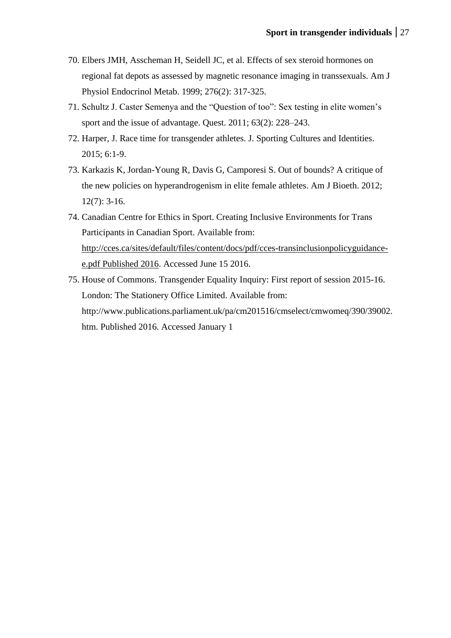- 70. Elbers JMH, Asscheman H, Seidell JC, et al. Effects of sex steroid hormones on regional fat depots as assessed by magnetic resonance imaging in transsexuals. Am J Physiol Endocrinol Metab. 1999; 276(2): 317-325.
- 71. Schultz J. Caster Semenya and the "Question of too": Sex testing in elite women's sport and the issue of advantage. Quest. 2011; 63(2): 228–243.
- 72. Harper, J. Race time for transgender athletes. J. Sporting Cultures and Identities. 2015; 6:1-9.
- 73. Karkazis K, Jordan-Young R, Davis G, Camporesi S. Out of bounds? A critique of the new policies on hyperandrogenism in elite female athletes. Am J Bioeth. 2012; 12(7): 3-16.
- 74. Canadian Centre for Ethics in Sport. Creating Inclusive Environments for Trans Participants in Canadian Sport. Available from: [http://cces.ca/sites/default/files/content/docs/pdf/cces-transinclusionpolicyguidance](http://cces.ca/sites/default/files/content/docs/pdf/cces-transinclusionpolicyguidance-e.pdf%20Published%202016)[e.pdf Published 2016.](http://cces.ca/sites/default/files/content/docs/pdf/cces-transinclusionpolicyguidance-e.pdf%20Published%202016) Accessed June 15 2016.
- 75. House of Commons. Transgender Equality Inquiry: First report of session 2015-16. London: The Stationery Office Limited. Available from: http://www.publications.parliament.uk/pa/cm201516/cmselect/cmwomeq/390/39002. htm. Published 2016. Accessed January 1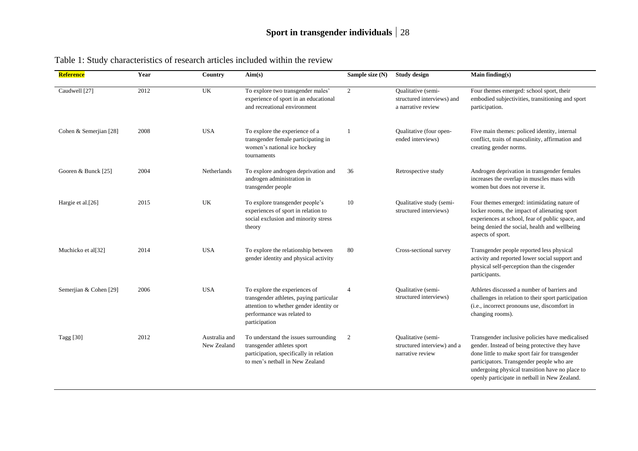| Reference              | Year | Country                      | Aim(s)                                                                                                                                                             | Sample size (N) | <b>Study design</b>                                                          | Main finding $(s)$                                                                                                                                                                                                                                                                                  |
|------------------------|------|------------------------------|--------------------------------------------------------------------------------------------------------------------------------------------------------------------|-----------------|------------------------------------------------------------------------------|-----------------------------------------------------------------------------------------------------------------------------------------------------------------------------------------------------------------------------------------------------------------------------------------------------|
| Caudwell [27]          | 2012 | UK                           | To explore two transgender males'<br>experience of sport in an educational<br>and recreational environment                                                         | 2               | Qualitative (semi-<br>structured interviews) and<br>a narrative review       | Four themes emerged: school sport, their<br>embodied subjectivities, transitioning and sport<br>participation.                                                                                                                                                                                      |
| Cohen & Semerjian [28] | 2008 | <b>USA</b>                   | To explore the experience of a<br>transgender female participating in<br>women's national ice hockey<br>tournaments                                                | $\overline{1}$  | Qualitative (four open-<br>ended interviews)                                 | Five main themes: policed identity, internal<br>conflict, traits of masculinity, affirmation and<br>creating gender norms.                                                                                                                                                                          |
| Gooren & Bunck [25]    | 2004 | Netherlands                  | To explore androgen deprivation and<br>androgen administration in<br>transgender people                                                                            | 36              | Retrospective study                                                          | Androgen deprivation in transgender females<br>increases the overlap in muscles mass with<br>women but does not reverse it.                                                                                                                                                                         |
| Hargie et al.[26]      | 2015 | UK                           | To explore transgender people's<br>experiences of sport in relation to<br>social exclusion and minority stress<br>theory                                           | 10              | Qualitative study (semi-<br>structured interviews)                           | Four themes emerged: intimidating nature of<br>locker rooms, the impact of alienating sport<br>experiences at school, fear of public space, and<br>being denied the social, health and wellbeing<br>aspects of sport.                                                                               |
| Muchicko et al[32]     | 2014 | <b>USA</b>                   | To explore the relationship between<br>gender identity and physical activity                                                                                       | 80              | Cross-sectional survey                                                       | Transgender people reported less physical<br>activity and reported lower social support and<br>physical self-perception than the cisgender<br>participants.                                                                                                                                         |
| Semerjian & Cohen [29] | 2006 | <b>USA</b>                   | To explore the experiences of<br>transgender athletes, paying particular<br>attention to whether gender identity or<br>performance was related to<br>participation | $\overline{4}$  | Qualitative (semi-<br>structured interviews)                                 | Athletes discussed a number of barriers and<br>challenges in relation to their sport participation<br>(i.e., incorrect pronouns use, discomfort in<br>changing rooms).                                                                                                                              |
| Tagg [30]              | 2012 | Australia and<br>New Zealand | To understand the issues surrounding<br>transgender athletes sport<br>participation, specifically in relation<br>to men's netball in New Zealand                   | 2               | <b>Oualitative</b> (semi-<br>structured interview) and a<br>narrative review | Transgender inclusive policies have medicalised<br>gender. Instead of being protective they have<br>done little to make sport fair for transgender<br>participators. Transgender people who are<br>undergoing physical transition have no place to<br>openly participate in netball in New Zealand. |

Table 1: Study characteristics of research articles included within the review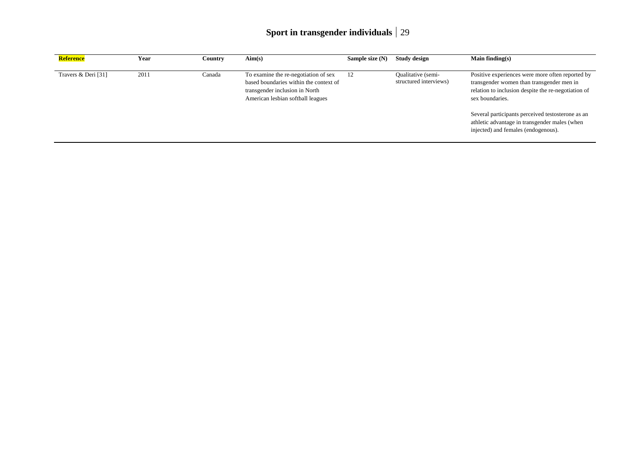| <b>Reference</b>    | Year | Country | Aim(s)                                                                                                                                                | Sample size $(N)$ | Study design                                 | Main finding $(s)$                                                                                                                                                                                                                                                                                                   |
|---------------------|------|---------|-------------------------------------------------------------------------------------------------------------------------------------------------------|-------------------|----------------------------------------------|----------------------------------------------------------------------------------------------------------------------------------------------------------------------------------------------------------------------------------------------------------------------------------------------------------------------|
| Travers & Deri [31] | 2011 | Canada  | To examine the re-negotiation of sex<br>based boundaries within the context of<br>transgender inclusion in North<br>American lesbian softball leagues | 12                | Qualitative (semi-<br>structured interviews) | Positive experiences were more often reported by<br>transgender women than transgender men in<br>relation to inclusion despite the re-negotiation of<br>sex boundaries.<br>Several participants perceived testosterone as an<br>athletic advantage in transgender males (when<br>injected) and females (endogenous). |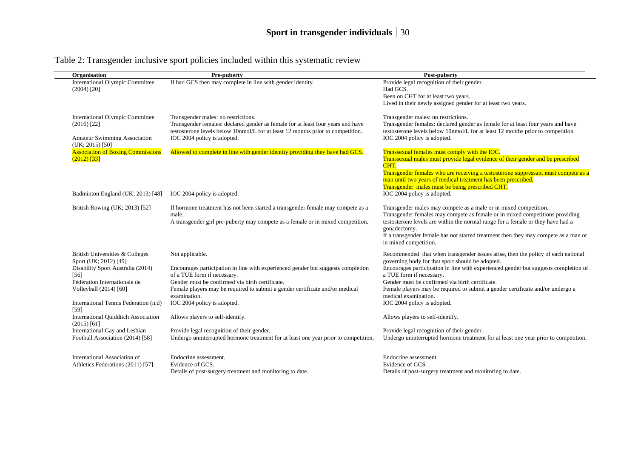| Organisation                                                                                                                                                    | Pre-puberty                                                                                                                                                                                                                                                                           | Post-puberty                                                                                                                                                                                                                                                                                                                                                                                                         |
|-----------------------------------------------------------------------------------------------------------------------------------------------------------------|---------------------------------------------------------------------------------------------------------------------------------------------------------------------------------------------------------------------------------------------------------------------------------------|----------------------------------------------------------------------------------------------------------------------------------------------------------------------------------------------------------------------------------------------------------------------------------------------------------------------------------------------------------------------------------------------------------------------|
| <b>International Olympic Committee</b><br>$(2004)$ [20]                                                                                                         | If had GCS then may complete in line with gender identity.                                                                                                                                                                                                                            | Provide legal recognition of their gender.<br>Had GCS.<br>Been on CHT for at least two years.<br>Lived in their newly assigned gender for at least two years.                                                                                                                                                                                                                                                        |
| International Olympic Committee<br>$(2016)$ [22]<br>Amateur Swimming Association                                                                                | Transgender males: no restrictions.<br>Transgender females: declared gender as female for at least four years and have<br>testosterone levels below 10nmol/L for at least 12 months prior to competition.<br>IOC 2004 policy is adopted.                                              | Transgender males: no restrictions.<br>Transgender females: declared gender as female for at least four years and have<br>testosterone levels below 10nmol/L for at least 12 months prior to competition.<br>IOC 2004 policy is adopted.                                                                                                                                                                             |
| (UK; 2015) [50]<br><b>Association of Boxing Commissions</b><br>$(2012)$ [33]                                                                                    | Allowed to complete in line with gender identity providing they have had GCS.                                                                                                                                                                                                         | Transsexual females must comply with the IOC.<br>Transsexual males must provide legal evidence of their gender and be prescribed<br>CHT.<br>Transgender females who are receiving a testosterone suppressant must compete as a<br>man until two years of medical treatment has been prescribed.<br>Transgender males must be being prescribed CHT.                                                                   |
| Badminton England (UK; 2013) [48]                                                                                                                               | IOC 2004 policy is adopted.                                                                                                                                                                                                                                                           | IOC 2004 policy is adopted.                                                                                                                                                                                                                                                                                                                                                                                          |
| British Rowing (UK; 2013) [52]                                                                                                                                  | If hormone treatment has not been started a transgender female may compete as a<br>male.<br>A transgender girl pre-puberty may compete as a female or in mixed competition.                                                                                                           | Transgender males may compete as a male or in mixed competition.<br>Transgender females may compete as female or in mixed competitions providing<br>testosterone levels are within the normal range for a female or they have had a<br>gonadectomy.<br>If a transgender female has not started treatment then they may compete as a man or<br>in mixed competition.                                                  |
| British Universities & Colleges<br>Sport (UK; 2012) [49]<br>Disability Sport Australia (2014)<br>[56]<br>Fédération Internationale de<br>Volleyball (2014) [60] | Not applicable.<br>Encourages participation in line with experienced gender but suggests completion<br>of a TUE form if necessary.<br>Gender must be confirmed via birth certificate.<br>Female players may be required to submit a gender certificate and/or medical<br>examination. | Recommended that when transgender issues arise, then the policy of each national<br>governing body for that sport should be adopted.<br>Encourages participation in line with experienced gender but suggests completion of<br>a TUE form if necessary.<br>Gender must be confirmed via birth certificate.<br>Female players may be required to submit a gender certificate and/or undergo a<br>medical examination. |
| International Tennis Federation (n.d)<br>$[59]$                                                                                                                 | IOC 2004 policy is adopted.                                                                                                                                                                                                                                                           | IOC 2004 policy is adopted.                                                                                                                                                                                                                                                                                                                                                                                          |
| <b>International Quidditch Association</b><br>$(2015)$ [61]                                                                                                     | Allows players to self-identify.                                                                                                                                                                                                                                                      | Allows players to self-identify.                                                                                                                                                                                                                                                                                                                                                                                     |
| International Gay and Lesbian<br>Football Association (2014) [58]                                                                                               | Provide legal recognition of their gender.<br>Undergo uninterrupted hormone treatment for at least one year prior to competition.                                                                                                                                                     | Provide legal recognition of their gender.<br>Undergo uninterrupted hormone treatment for at least one year prior to competition.                                                                                                                                                                                                                                                                                    |
| International Association of<br>Athletics Federations (2011) [57]                                                                                               | Endocrine assessment.<br>Evidence of GCS.<br>Details of post-surgery treatment and monitoring to date.                                                                                                                                                                                | Endocrine assessment.<br>Evidence of GCS.<br>Details of post-surgery treatment and monitoring to date.                                                                                                                                                                                                                                                                                                               |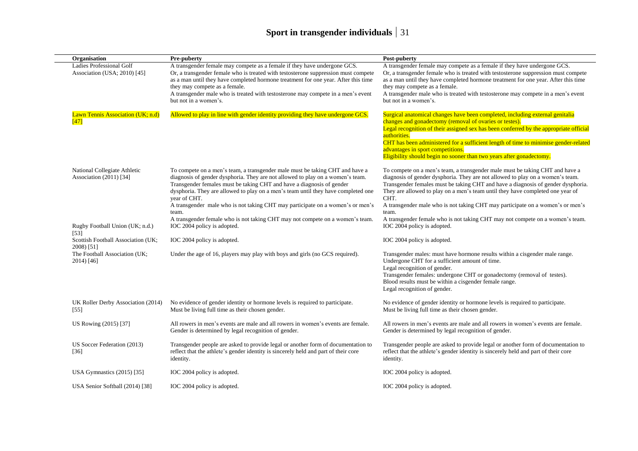| <b>Organisation</b>                                      | <b>Pre-puberty</b>                                                                                                                                                                                                                                                                                                                                                                                                                      | Post-puberty                                                                                                                                                                                                                                                                                                                                                                                                                                            |
|----------------------------------------------------------|-----------------------------------------------------------------------------------------------------------------------------------------------------------------------------------------------------------------------------------------------------------------------------------------------------------------------------------------------------------------------------------------------------------------------------------------|---------------------------------------------------------------------------------------------------------------------------------------------------------------------------------------------------------------------------------------------------------------------------------------------------------------------------------------------------------------------------------------------------------------------------------------------------------|
| Ladies Professional Golf<br>Association (USA; 2010) [45] | A transgender female may compete as a female if they have undergone GCS.<br>Or, a transgender female who is treated with testosterone suppression must compete<br>as a man until they have completed hormone treatment for one year. After this time<br>they may compete as a female.<br>A transgender male who is treated with testosterone may compete in a men's event<br>but not in a women's.                                      | A transgender female may compete as a female if they have undergone GCS.<br>Or, a transgender female who is treated with testosterone suppression must compete<br>as a man until they have completed hormone treatment for one year. After this time<br>they may compete as a female.<br>A transgender male who is treated with testosterone may compete in a men's event<br>but not in a women's.                                                      |
| Lawn Tennis Association (UK; n.d)<br>[47]                | Allowed to play in line with gender identity providing they have undergone GCS.                                                                                                                                                                                                                                                                                                                                                         | Surgical anatomical changes have been completed, including external genitalia<br>changes and gonadectomy (removal of ovaries or testes).<br>Legal recognition of their assigned sex has been conferred by the appropriate official<br>authorities.<br>CHT has been administered for a sufficient length of time to minimise gender-related<br>advantages in sport competitions.<br>Eligibility should begin no sooner than two years after gonadectomy. |
| National Collegiate Athletic<br>Association (2011) [34]  | To compete on a men's team, a transgender male must be taking CHT and have a<br>diagnosis of gender dysphoria. They are not allowed to play on a women's team.<br>Transgender females must be taking CHT and have a diagnosis of gender<br>dysphoria. They are allowed to play on a men's team until they have completed one<br>year of CHT.<br>A transgender male who is not taking CHT may participate on a women's or men's<br>team. | To compete on a men's team, a transgender male must be taking CHT and have a<br>diagnosis of gender dysphoria. They are not allowed to play on a women's team.<br>Transgender females must be taking CHT and have a diagnosis of gender dysphoria.<br>They are allowed to play on a men's team until they have completed one year of<br>CHT.<br>A transgender male who is not taking CHT may participate on a women's or men's<br>team.                 |
| Rugby Football Union (UK; n.d.)<br>$[53]$                | A transgender female who is not taking CHT may not compete on a women's team.<br>IOC 2004 policy is adopted.                                                                                                                                                                                                                                                                                                                            | A transgender female who is not taking CHT may not compete on a women's team.<br>IOC 2004 policy is adopted.                                                                                                                                                                                                                                                                                                                                            |
| Scottish Football Association (UK;<br>2008) [51]         | IOC 2004 policy is adopted.                                                                                                                                                                                                                                                                                                                                                                                                             | IOC 2004 policy is adopted.                                                                                                                                                                                                                                                                                                                                                                                                                             |
| The Football Association (UK;<br>2014) [46]              | Under the age of 16, players may play with boys and girls (no GCS required).                                                                                                                                                                                                                                                                                                                                                            | Transgender males: must have hormone results within a cisgender male range.<br>Undergone CHT for a sufficient amount of time.<br>Legal recognition of gender.<br>Transgender females: undergone CHT or gonadectomy (removal of testes).<br>Blood results must be within a cisgender female range.<br>Legal recognition of gender.                                                                                                                       |
| UK Roller Derby Association (2014)<br>$[55]$             | No evidence of gender identity or hormone levels is required to participate.<br>Must be living full time as their chosen gender.                                                                                                                                                                                                                                                                                                        | No evidence of gender identity or hormone levels is required to participate.<br>Must be living full time as their chosen gender.                                                                                                                                                                                                                                                                                                                        |
| US Rowing (2015) [37]                                    | All rowers in men's events are male and all rowers in women's events are female.<br>Gender is determined by legal recognition of gender.                                                                                                                                                                                                                                                                                                | All rowers in men's events are male and all rowers in women's events are female.<br>Gender is determined by legal recognition of gender.                                                                                                                                                                                                                                                                                                                |
| US Soccer Federation (2013)<br>[36]                      | Transgender people are asked to provide legal or another form of documentation to<br>reflect that the athlete's gender identity is sincerely held and part of their core<br>identity.                                                                                                                                                                                                                                                   | Transgender people are asked to provide legal or another form of documentation to<br>reflect that the athlete's gender identity is sincerely held and part of their core<br>identity.                                                                                                                                                                                                                                                                   |
| USA Gymnastics $(2015)$ [35]                             | IOC 2004 policy is adopted.                                                                                                                                                                                                                                                                                                                                                                                                             | IOC 2004 policy is adopted.                                                                                                                                                                                                                                                                                                                                                                                                                             |
| USA Senior Softball (2014) [38]                          | IOC 2004 policy is adopted.                                                                                                                                                                                                                                                                                                                                                                                                             | IOC 2004 policy is adopted.                                                                                                                                                                                                                                                                                                                                                                                                                             |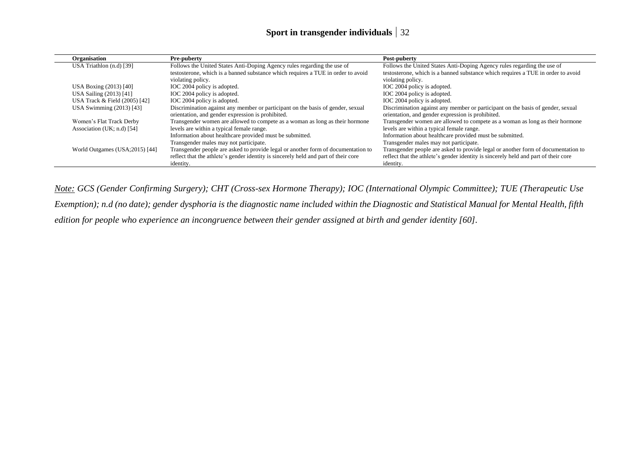| Organisation                    | <b>Pre-puberty</b>                                                                  | <b>Post-puberty</b>                                                                 |
|---------------------------------|-------------------------------------------------------------------------------------|-------------------------------------------------------------------------------------|
| USA Triathlon (n.d) [39]        | Follows the United States Anti-Doping Agency rules regarding the use of             | Follows the United States Anti-Doping Agency rules regarding the use of             |
|                                 | testosterone, which is a banned substance which requires a TUE in order to avoid    | testosterone, which is a banned substance which requires a TUE in order to avoid    |
|                                 | violating policy.                                                                   | violating policy.                                                                   |
| USA Boxing (2013) [40]          | IOC 2004 policy is adopted.                                                         | IOC 2004 policy is adopted.                                                         |
| USA Sailing (2013) [41]         | IOC 2004 policy is adopted.                                                         | IOC 2004 policy is adopted.                                                         |
| USA Track & Field (2005) [42]   | IOC 2004 policy is adopted.                                                         | IOC 2004 policy is adopted.                                                         |
| USA Swimming (2013) [43]        | Discrimination against any member or participant on the basis of gender, sexual     | Discrimination against any member or participant on the basis of gender, sexual     |
|                                 | orientation, and gender expression is prohibited.                                   | orientation, and gender expression is prohibited.                                   |
| Women's Flat Track Derby        | Transgender women are allowed to compete as a woman as long as their hormone        | Transgender women are allowed to compete as a woman as long as their hormone        |
| Association (UK; n.d) [54]      | levels are within a typical female range.                                           | levels are within a typical female range.                                           |
|                                 | Information about healthcare provided must be submitted.                            | Information about healthcare provided must be submitted.                            |
|                                 | Transgender males may not participate.                                              | Transgender males may not participate.                                              |
| World Outgames (USA; 2015) [44] | Transgender people are asked to provide legal or another form of documentation to   | Transgender people are asked to provide legal or another form of documentation to   |
|                                 | reflect that the athlete's gender identity is sincerely held and part of their core | reflect that the athlete's gender identity is sincerely held and part of their core |
|                                 | identity.                                                                           | identity.                                                                           |

Note: GCS (Gender Confirming Surgery); CHT (Cross-sex Hormone Therapy); IOC (International Olympic Committee); TUE (Therapeutic Use Exemption); n.d (no date); gender dysphoria is the diagnostic name included within the Diagnostic and Statistical Manual for Mental Health, fifth edition for people who experience an incongruence between their gender assigned at birth and gender identity [60].